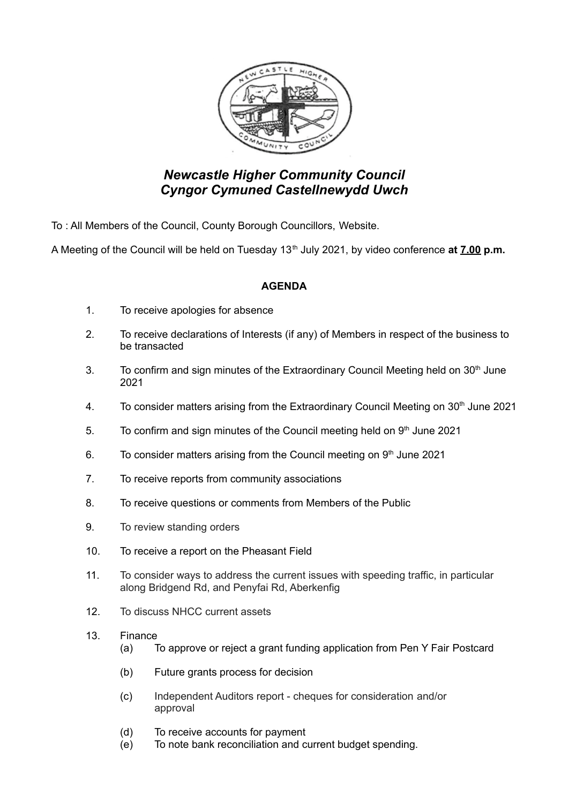

## *Newcastle Higher Community Council Cyngor Cymuned Castellnewydd Uwch*

To : All Members of the Council, County Borough Councillors, Website.

A Meeting of the Council will be held on Tuesday 13<sup>th</sup> July 2021, by video conference at **7.00 p.m.** 

## **AGENDA**

- 1. To receive apologies for absence
- 2. To receive declarations of Interests (if any) of Members in respect of the business to be transacted
- 3. To confirm and sign minutes of the Extraordinary Council Meeting held on  $30<sup>th</sup>$  June 2021
- 4. To consider matters arising from the Extraordinary Council Meeting on 30<sup>th</sup> June 2021
- 5. To confirm and sign minutes of the Council meeting held on  $9<sup>th</sup>$  June 2021
- 6. To consider matters arising from the Council meeting on  $9<sup>th</sup>$  June 2021
- 7. To receive reports from community associations
- 8. To receive questions or comments from Members of the Public
- 9. To review standing orders
- 10. To receive a report on the Pheasant Field
- 11. To consider ways to address the current issues with speeding traffic, in particular along Bridgend Rd, and Penyfai Rd, Aberkenfig
- 12. To discuss NHCC current assets
- 13. Finance
	- (a) To approve or reject a grant funding application from Pen Y Fair Postcard
	- (b) Future grants process for decision
	- (c) Independent Auditors report cheques for consideration and/or approval
	- (d) To receive accounts for payment
	- (e) To note bank reconciliation and current budget spending.